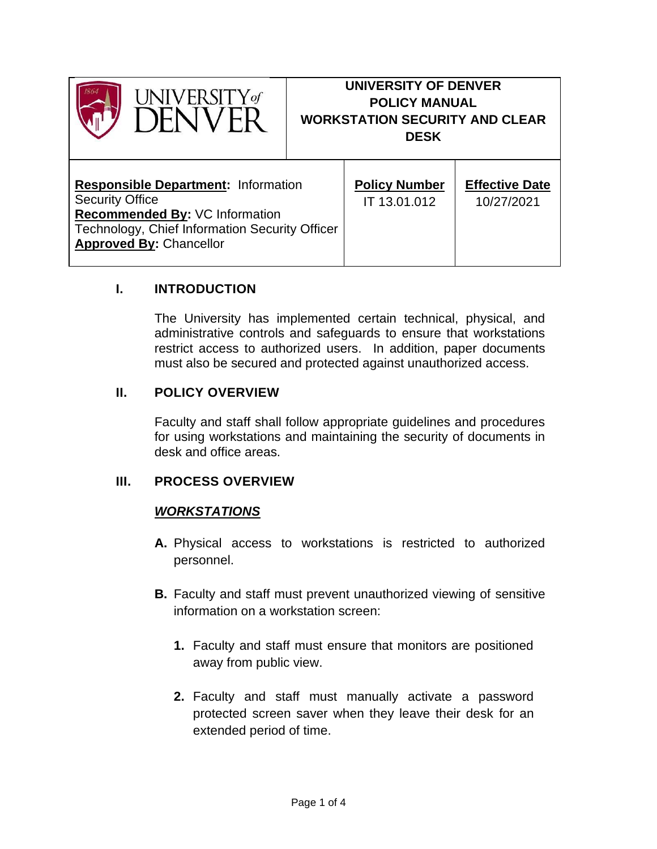

# **UNIVERSITY OF DENVER POLICY MANUAL WORKSTATION SECURITY AND CLEAR DESK**

| <b>Responsible Department: Information</b>     | <b>Policy Number</b> | <b>Effective Date</b> |
|------------------------------------------------|----------------------|-----------------------|
| <b>Security Office</b>                         | IT 13.01.012         | 10/27/2021            |
| Recommended By: VC Information                 |                      |                       |
| Technology, Chief Information Security Officer |                      |                       |
| <b>Approved By: Chancellor</b>                 |                      |                       |
|                                                |                      |                       |

Τ

### **I. INTRODUCTION**

The University has implemented certain technical, physical, and administrative controls and safeguards to ensure that workstations restrict access to authorized users. In addition, paper documents must also be secured and protected against unauthorized access.

#### **II. POLICY OVERVIEW**

Faculty and staff shall follow appropriate guidelines and procedures for using workstations and maintaining the security of documents in desk and office areas.

#### **III. PROCESS OVERVIEW**

#### *WORKSTATIONS*

- **A.** Physical access to workstations is restricted to authorized personnel.
- **B.** Faculty and staff must prevent unauthorized viewing of sensitive information on a workstation screen:
	- **1.** Faculty and staff must ensure that monitors are positioned away from public view.
	- **2.** Faculty and staff must manually activate a password protected screen saver when they leave their desk for an extended period of time.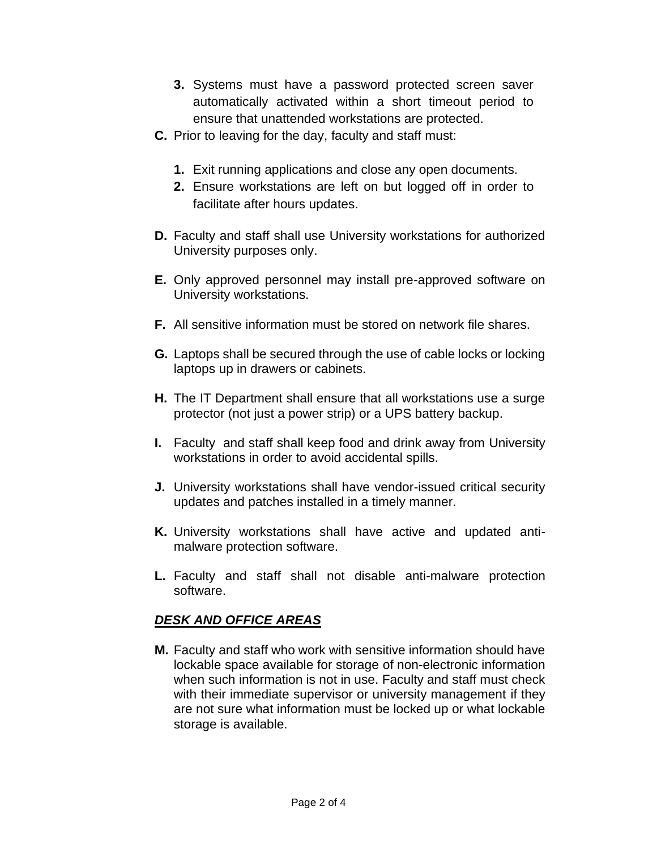- **3.** Systems must have a password protected screen saver automatically activated within a short timeout period to ensure that unattended workstations are protected.
- **C.** Prior to leaving for the day, faculty and staff must:
	- **1.** Exit running applications and close any open documents.
	- **2.** Ensure workstations are left on but logged off in order to facilitate after hours updates.
- **D.** Faculty and staff shall use University workstations for authorized University purposes only.
- **E.** Only approved personnel may install pre-approved software on University workstations.
- **F.** All sensitive information must be stored on network file shares.
- **G.** Laptops shall be secured through the use of cable locks or locking laptops up in drawers or cabinets.
- **H.** The IT Department shall ensure that all workstations use a surge protector (not just a power strip) or a UPS battery backup.
- **I.** Faculty and staff shall keep food and drink away from University workstations in order to avoid accidental spills.
- **J.** University workstations shall have vendor-issued critical security updates and patches installed in a timely manner.
- **K.** University workstations shall have active and updated antimalware protection software.
- **L.** Faculty and staff shall not disable anti-malware protection software.

#### *DESK AND OFFICE AREAS*

**M.** Faculty and staff who work with sensitive information should have lockable space available for storage of non-electronic information when such information is not in use. Faculty and staff must check with their immediate supervisor or university management if they are not sure what information must be locked up or what lockable storage is available.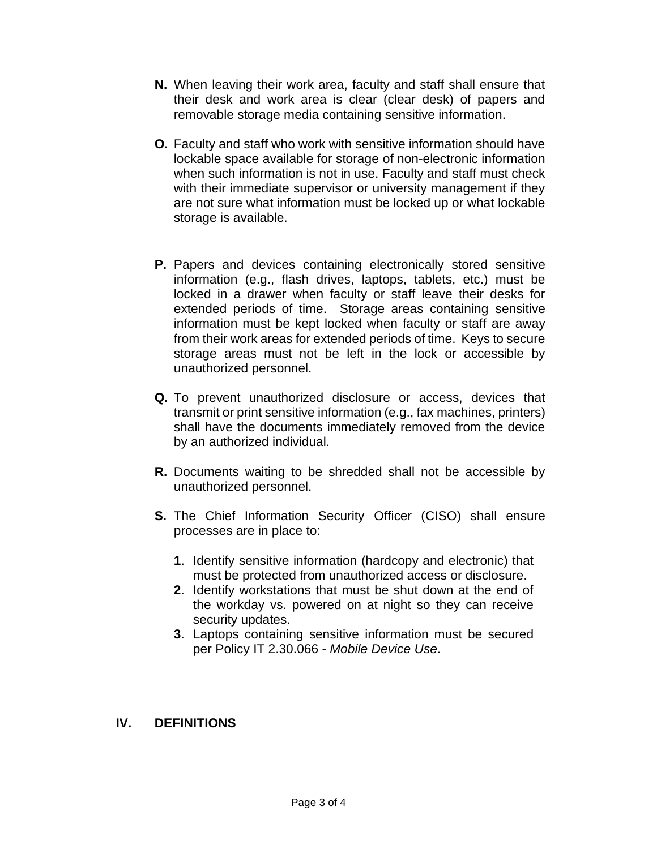- **N.** When leaving their work area, faculty and staff shall ensure that their desk and work area is clear (clear desk) of papers and removable storage media containing sensitive information.
- **O.** Faculty and staff who work with sensitive information should have lockable space available for storage of non-electronic information when such information is not in use. Faculty and staff must check with their immediate supervisor or university management if they are not sure what information must be locked up or what lockable storage is available.
- **P.** Papers and devices containing electronically stored sensitive information (e.g., flash drives, laptops, tablets, etc.) must be locked in a drawer when faculty or staff leave their desks for extended periods of time. Storage areas containing sensitive information must be kept locked when faculty or staff are away from their work areas for extended periods of time. Keys to secure storage areas must not be left in the lock or accessible by unauthorized personnel.
- **Q.** To prevent unauthorized disclosure or access, devices that transmit or print sensitive information (e.g., fax machines, printers) shall have the documents immediately removed from the device by an authorized individual.
- **R.** Documents waiting to be shredded shall not be accessible by unauthorized personnel.
- **S.** The Chief Information Security Officer (CISO) shall ensure processes are in place to:
	- **1**. Identify sensitive information (hardcopy and electronic) that must be protected from unauthorized access or disclosure.
	- **2**. Identify workstations that must be shut down at the end of the workday vs. powered on at night so they can receive security updates.
	- **3**. Laptops containing sensitive information must be secured per Policy IT 2.30.066 - *Mobile Device Use*.

#### **IV. DEFINITIONS**